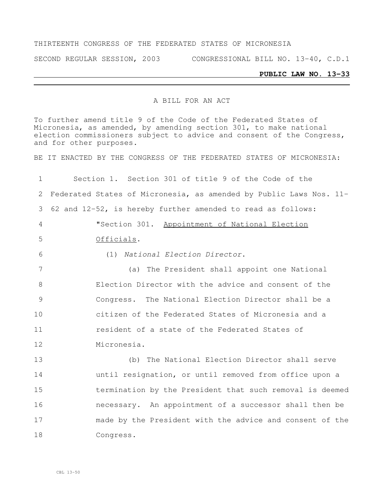#### THIRTEENTH CONGRESS OF THE FEDERATED STATES OF MICRONESIA

SECOND REGULAR SESSION, 2003 CONGRESSIONAL BILL NO. 13-40, C.D.1

# **PUBLIC LAW NO. 13-33**

### A BILL FOR AN ACT

To further amend title 9 of the Code of the Federated States of Micronesia, as amended, by amending section 301, to make national election commissioners subject to advice and consent of the Congress, and for other purposes.

BE IT ENACTED BY THE CONGRESS OF THE FEDERATED STATES OF MICRONESIA:

| $\mathbf 1$    | Section 1. Section 301 of title 9 of the Code of the               |  |  |  |  |  |
|----------------|--------------------------------------------------------------------|--|--|--|--|--|
| 2              | Federated States of Micronesia, as amended by Public Laws Nos. 11- |  |  |  |  |  |
| 3              | 62 and 12-52, is hereby further amended to read as follows:        |  |  |  |  |  |
| $\overline{4}$ | "Section 301. Appointment of National Election                     |  |  |  |  |  |
| 5              | Officials.                                                         |  |  |  |  |  |
| 6              | (1) National Election Director.                                    |  |  |  |  |  |
| 7              | (a) The President shall appoint one National                       |  |  |  |  |  |
| 8              | Election Director with the advice and consent of the               |  |  |  |  |  |
| 9              | Congress. The National Election Director shall be a                |  |  |  |  |  |
| 10             | citizen of the Federated States of Micronesia and a                |  |  |  |  |  |
| 11             | resident of a state of the Federated States of                     |  |  |  |  |  |
| 12             | Micronesia.                                                        |  |  |  |  |  |
| 13             | The National Election Director shall serve<br>(b)                  |  |  |  |  |  |
| 14             | until resignation, or until removed from office upon a             |  |  |  |  |  |
| 15             | termination by the President that such removal is deemed           |  |  |  |  |  |
| 16             | necessary. An appointment of a successor shall then be             |  |  |  |  |  |
| 17             | made by the President with the advice and consent of the           |  |  |  |  |  |
| 18             | Congress.                                                          |  |  |  |  |  |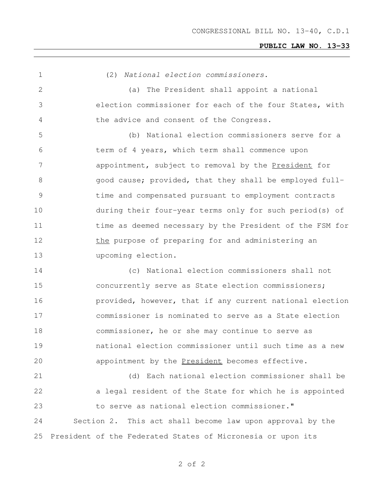#### **PUBLIC LAW NO. 13-33**

(2) *National election commissioners*.

 (a) The President shall appoint a national election commissioner for each of the four States, with the advice and consent of the Congress.

 (b) National election commissioners serve for a term of 4 years, which term shall commence upon 7 appointment, subject to removal by the President for 8 6 8 agood cause; provided, that they shall be employed full- time and compensated pursuant to employment contracts during their four-year terms only for such period(s) of 11 time as deemed necessary by the President of the FSM for 12 the purpose of preparing for and administering an upcoming election.

 (c) National election commissioners shall not concurrently serve as State election commissioners; **provided, however, that if any current national election**  commissioner is nominated to serve as a State election commissioner, he or she may continue to serve as national election commissioner until such time as a new appointment by the President becomes effective.

 (d) Each national election commissioner shall be a legal resident of the State for which he is appointed to serve as national election commissioner." Section 2. This act shall become law upon approval by the President of the Federated States of Micronesia or upon its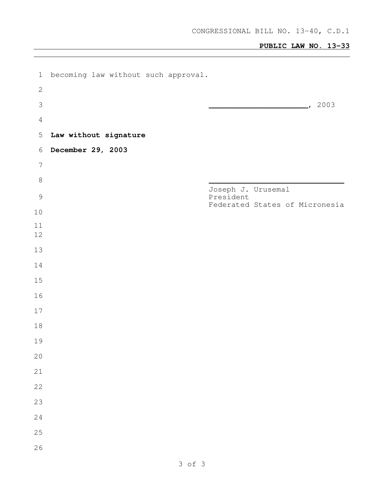## **PUBLIC LAW NO. 13-33**

| $\mathbf 1$    | becoming law without such approval. |                                 |                                |
|----------------|-------------------------------------|---------------------------------|--------------------------------|
| $\sqrt{2}$     |                                     |                                 |                                |
| $\mathfrak{Z}$ |                                     |                                 | $\sim$ 2003                    |
| $\overline{4}$ |                                     |                                 |                                |
| $\mathsf S$    | Law without signature               |                                 |                                |
| $6\,$          | December 29, 2003                   |                                 |                                |
| $\sqrt{ }$     |                                     |                                 |                                |
| $\,8\,$        |                                     |                                 |                                |
| $\mathcal{G}$  |                                     | Joseph J. Urusemal<br>President |                                |
| $10$           |                                     |                                 | Federated States of Micronesia |
| 11             |                                     |                                 |                                |
| 12             |                                     |                                 |                                |
| 13             |                                     |                                 |                                |
| 14             |                                     |                                 |                                |
| 15             |                                     |                                 |                                |
| 16             |                                     |                                 |                                |
| 17             |                                     |                                 |                                |
| 18             |                                     |                                 |                                |
| 19             |                                     |                                 |                                |
| 20             |                                     |                                 |                                |
| 21             |                                     |                                 |                                |
| 22             |                                     |                                 |                                |
| 23             |                                     |                                 |                                |
| 24             |                                     |                                 |                                |
| 25             |                                     |                                 |                                |
| 26             |                                     |                                 |                                |